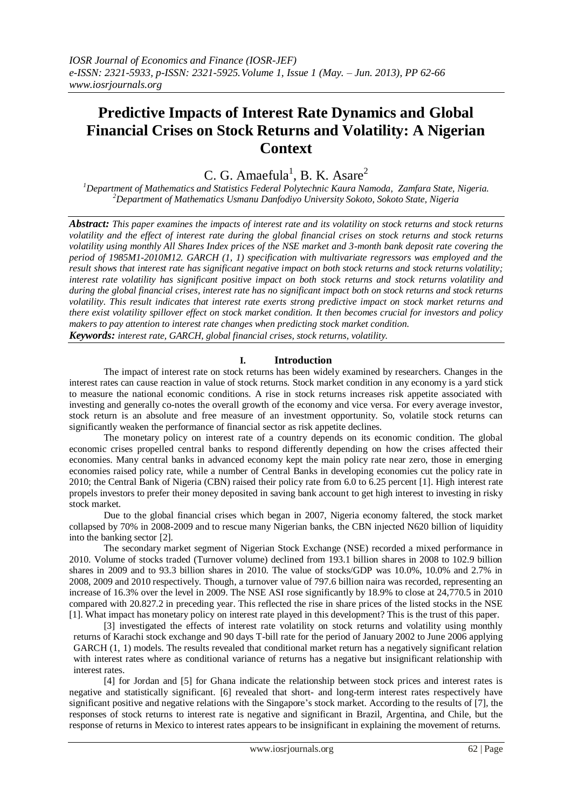# **Predictive Impacts of Interest Rate Dynamics and Global Financial Crises on Stock Returns and Volatility: A Nigerian Context**

C. G. Amaefula<sup>1</sup>, B. K. Asare<sup>2</sup>

*<sup>1</sup>Department of Mathematics and Statistics Federal Polytechnic Kaura Namoda, Zamfara State, Nigeria. <sup>2</sup>Department of Mathematics Usmanu Danfodiyo University Sokoto, Sokoto State, Nigeria*

*Abstract: This paper examines the impacts of interest rate and its volatility on stock returns and stock returns volatility and the effect of interest rate during the global financial crises on stock returns and stock returns volatility using monthly All Shares Index prices of the NSE market and 3-month bank deposit rate covering the period of 1985M1-2010M12. GARCH (1, 1) specification with multivariate regressors was employed and the result shows that interest rate has significant negative impact on both stock returns and stock returns volatility; interest rate volatility has significant positive impact on both stock returns and stock returns volatility and during the global financial crises, interest rate has no significant impact both on stock returns and stock returns volatility. This result indicates that interest rate exerts strong predictive impact on stock market returns and there exist volatility spillover effect on stock market condition. It then becomes crucial for investors and policy makers to pay attention to interest rate changes when predicting stock market condition.*

*Keywords: interest rate, GARCH, global financial crises, stock returns, volatility.*

## **I. Introduction**

The impact of interest rate on stock returns has been widely examined by researchers. Changes in the interest rates can cause reaction in value of stock returns. Stock market condition in any economy is a yard stick to measure the national economic conditions. A rise in stock returns increases risk appetite associated with investing and generally co-notes the overall growth of the economy and vice versa. For every average investor, stock return is an absolute and free measure of an investment opportunity. So, volatile stock returns can significantly weaken the performance of financial sector as risk appetite declines.

The monetary policy on interest rate of a country depends on its economic condition. The global economic crises propelled central banks to respond differently depending on how the crises affected their economies. Many central banks in advanced economy kept the main policy rate near zero, those in emerging economies raised policy rate, while a number of Central Banks in developing economies cut the policy rate in 2010; the Central Bank of Nigeria (CBN) raised their policy rate from 6.0 to 6.25 percent [1]. High interest rate propels investors to prefer their money deposited in saving bank account to get high interest to investing in risky stock market.

Due to the global financial crises which began in 2007, Nigeria economy faltered, the stock market collapsed by 70% in 2008-2009 and to rescue many Nigerian banks, the CBN injected N620 billion of liquidity into the banking sector [2].

The secondary market segment of Nigerian Stock Exchange (NSE) recorded a mixed performance in 2010. Volume of stocks traded (Turnover volume) declined from 193.1 billion shares in 2008 to 102.9 billion shares in 2009 and to 93.3 billion shares in 2010. The value of stocks/GDP was 10.0%, 10.0% and 2.7% in 2008, 2009 and 2010 respectively. Though, a turnover value of 797.6 billion naira was recorded, representing an increase of 16.3% over the level in 2009. The NSE ASI rose significantly by 18.9% to close at 24,770.5 in 2010 compared with 20.827.2 in preceding year. This reflected the rise in share prices of the listed stocks in the NSE [1]. What impact has monetary policy on interest rate played in this development? This is the trust of this paper.

[3] investigated the effects of interest rate volatility on stock returns and volatility using monthly returns of Karachi stock exchange and 90 days T-bill rate for the period of January 2002 to June 2006 applying GARCH (1, 1) models. The results revealed that conditional market return has a negatively significant relation with interest rates where as conditional variance of returns has a negative but insignificant relationship with interest rates.

[4] for Jordan and [5] for Ghana indicate the relationship between stock prices and interest rates is negative and statistically significant. [6] revealed that short- and long-term interest rates respectively have significant positive and negative relations with the Singapore's stock market. According to the results of [7], the responses of stock returns to interest rate is negative and significant in Brazil, Argentina, and Chile, but the response of returns in Mexico to interest rates appears to be insignificant in explaining the movement of returns.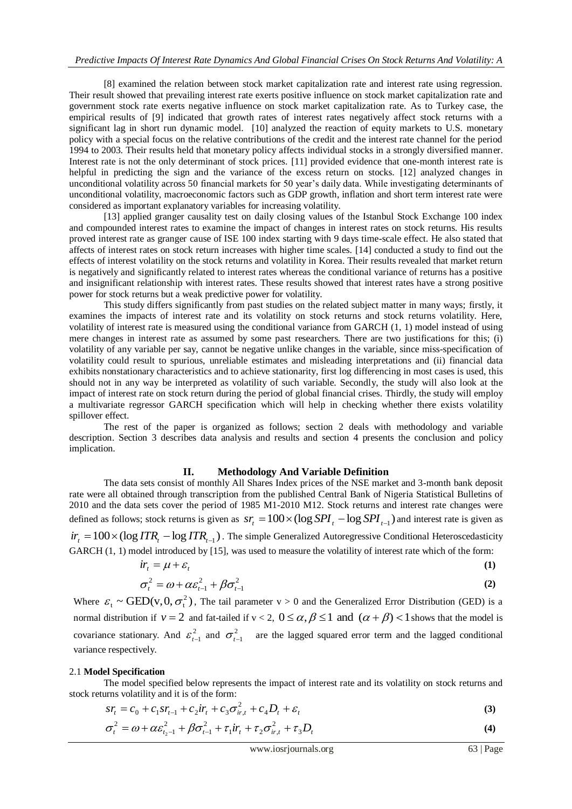[8] examined the relation between stock market capitalization rate and interest rate using regression. Their result showed that prevailing interest rate exerts positive influence on stock market capitalization rate and government stock rate exerts negative influence on stock market capitalization rate. As to Turkey case, the empirical results of [9] indicated that growth rates of interest rates negatively affect stock returns with a significant lag in short run dynamic model. [10] analyzed the reaction of equity markets to U.S. monetary policy with a special focus on the relative contributions of the credit and the interest rate channel for the period 1994 to 2003. Their results held that monetary policy affects individual stocks in a strongly diversified manner. Interest rate is not the only determinant of stock prices. [11] provided evidence that one-month interest rate is helpful in predicting the sign and the variance of the excess return on stocks. [12] analyzed changes in unconditional volatility across 50 financial markets for 50 year's daily data. While investigating determinants of unconditional volatility, macroeconomic factors such as GDP growth, inflation and short term interest rate were considered as important explanatory variables for increasing volatility.

[13] applied granger causality test on daily closing values of the Istanbul Stock Exchange 100 index and compounded interest rates to examine the impact of changes in interest rates on stock returns. His results proved interest rate as granger cause of ISE 100 index starting with 9 days time-scale effect. He also stated that affects of interest rates on stock return increases with higher time scales. [14] conducted a study to find out the effects of interest volatility on the stock returns and volatility in Korea. Their results revealed that market return is negatively and significantly related to interest rates whereas the conditional variance of returns has a positive and insignificant relationship with interest rates. These results showed that interest rates have a strong positive power for stock returns but a weak predictive power for volatility.

This study differs significantly from past studies on the related subject matter in many ways; firstly, it examines the impacts of interest rate and its volatility on stock returns and stock returns volatility. Here, volatility of interest rate is measured using the conditional variance from GARCH (1, 1) model instead of using mere changes in interest rate as assumed by some past researchers. There are two justifications for this; (i) volatility of any variable per say, cannot be negative unlike changes in the variable, since miss-specification of volatility could result to spurious, unreliable estimates and misleading interpretations and (ii) financial data exhibits nonstationary characteristics and to achieve stationarity, first log differencing in most cases is used, this should not in any way be interpreted as volatility of such variable. Secondly, the study will also look at the impact of interest rate on stock return during the period of global financial crises. Thirdly, the study will employ a multivariate regressor GARCH specification which will help in checking whether there exists volatility spillover effect.

The rest of the paper is organized as follows; section 2 deals with methodology and variable description. Section 3 describes data analysis and results and section 4 presents the conclusion and policy implication.

#### **II. Methodology And Variable Definition**

The data sets consist of monthly All Shares Index prices of the NSE market and 3-month bank deposit rate were all obtained through transcription from the published Central Bank of Nigeria Statistical Bulletins of 2010 and the data sets cover the period of 1985 M1-2010 M12. Stock returns and interest rate changes were defined as follows; stock returns is given as  $sr_t = 100 \times (\log SPI_t - \log SPI_{t-1})$  and interest rate is given as  $ir_t = 100 \times (\log ITR_t - \log ITR_{t-1})$ . The simple Generalized Autoregressive Conditional Heteroscedasticity

GARCH  $(1, 1)$  model introduced by [15], was used to measure the volatility of interest rate which of the form:

$$
\begin{aligned}\n\dot{r}_t &= \mu + \varepsilon_t\n\\ \n\sigma_t^2 &= \omega + \alpha \varepsilon_{t-1}^2 + \beta \sigma_{t-1}^2\n\end{aligned} \tag{1}
$$

Where  $\varepsilon_t \sim \text{GED}(v, 0, \sigma_t^2)$ , The tail parameter  $v > 0$  and the Generalized Error Distribution (GED) is a normal distribution if  $v = 2$  and fat-tailed if  $v < 2$ ,  $0 \le \alpha, \beta \le 1$  and  $(\alpha + \beta) < 1$  shows that the model is covariance stationary. And  $\varepsilon_t^2$  $\varepsilon_{t-1}^2$  and  $\sigma_{t-1}^2$  are the lagged squared error term and the lagged conditional variance respectively.

#### 2.1 **Model Specification**

The model specified below represents the impact of interest rate and its volatility on stock returns and stock returns volatility and it is of the form:

$$
sr_{t} = c_0 + c_1 sr_{t-1} + c_2 ir_{t} + c_3 \sigma_{ir,t}^{2} + c_4 D_t + \varepsilon_t
$$
\n(3)

$$
\sigma_t^2 = \omega + \alpha \varepsilon_{t_2-1}^2 + \beta \sigma_{t-1}^2 + \tau_1 i r_t + \tau_2 \sigma_{ir,t}^2 + \tau_3 D_t
$$
\n(4)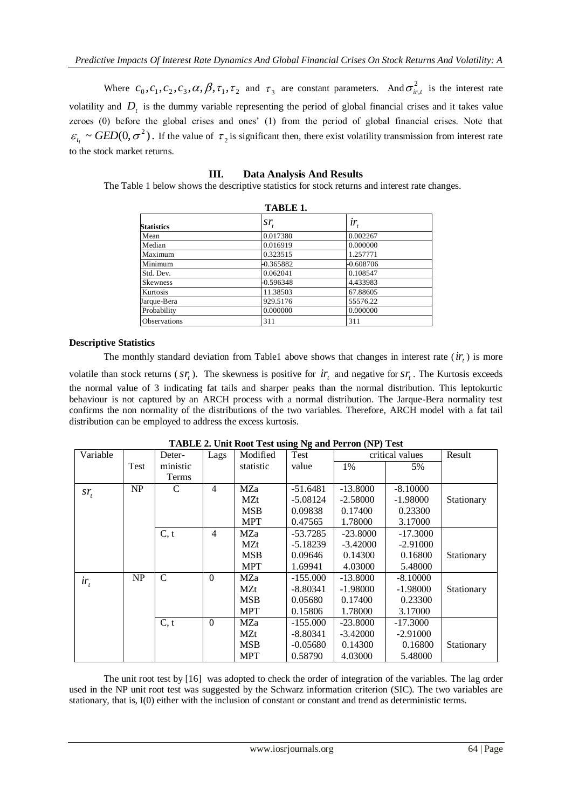Where  $c_0, c_1, c_2, c_3, \alpha, \beta, \tau_1, \tau_2$  and  $\tau_3$  are constant parameters. And  $\sigma_{ir,t}^2$  is the interest rate volatility and  $D<sub>t</sub>$  is the dummy variable representing the period of global financial crises and it takes value zeroes (0) before the global crises and ones' (1) from the period of global financial crises. Note that  $\varepsilon_{t_i} \sim \text{GED}(0, \sigma^2)$ . If the value of  $\tau_2$  is significant then, there exist volatility transmission from interest rate to the stock market returns.

| TABLE 1.            |           |             |  |  |
|---------------------|-----------|-------------|--|--|
| <b>Statistics</b>   | $ST_t$    | $ir_{t}$    |  |  |
| Mean                | 0.017380  | 0.002267    |  |  |
| Median              | 0.016919  | 0.000000    |  |  |
| Maximum             | 0.323515  | 1.257771    |  |  |
| Minimum             | -0.365882 | $-0.608706$ |  |  |
| Std. Dev.           | 0.062041  | 0.108547    |  |  |
| <b>Skewness</b>     | -0.596348 | 4.433983    |  |  |
| Kurtosis            | 11.38503  | 67.88605    |  |  |
| Jarque-Bera         | 929.5176  | 55576.22    |  |  |
| Probability         | 0.000000  | 0.000000    |  |  |
| <b>Observations</b> | 311       | 311         |  |  |

### **III. Data Analysis And Results**

The Table 1 below shows the descriptive statistics for stock returns and interest rate changes.

## **Descriptive Statistics**

The monthly standard deviation from Table1 above shows that changes in interest rate  $(ir<sub>t</sub>)$  is more

volatile than stock returns ( $sr<sub>t</sub>$ ). The skewness is positive for  $ir<sub>t</sub>$  and negative for  $sr<sub>t</sub>$ . The Kurtosis exceeds the normal value of 3 indicating fat tails and sharper peaks than the normal distribution. This leptokurtic behaviour is not captured by an ARCH process with a normal distribution. The Jarque-Bera normality test confirms the non normality of the distributions of the two variables. Therefore, ARCH model with a fat tail distribution can be employed to address the excess kurtosis.

| Variable |      | Deter-        | Lags           | Modified   | .<br>Test  | critical values |            | Result     |
|----------|------|---------------|----------------|------------|------------|-----------------|------------|------------|
|          | Test | ministic      |                | statistic  | value      | 1%              | 5%         |            |
|          |      | Terms         |                |            |            |                 |            |            |
| $ST_t$   | NP   | C             | 4              | MZa        | $-51.6481$ | $-13.8000$      | $-8.10000$ |            |
|          |      |               |                | MZt        | $-5.08124$ | $-2.58000$      | $-1.98000$ | Stationary |
|          |      |               |                | <b>MSB</b> | 0.09838    | 0.17400         | 0.23300    |            |
|          |      |               |                | <b>MPT</b> | 0.47565    | 1.78000         | 3.17000    |            |
|          |      | C, t          | $\overline{4}$ | MZa        | $-53.7285$ | $-23.8000$      | $-17.3000$ |            |
|          |      |               |                | MZt        | $-5.18239$ | $-3.42000$      | $-2.91000$ |            |
|          |      |               |                | <b>MSB</b> | 0.09646    | 0.14300         | 0.16800    | Stationary |
|          |      |               |                | <b>MPT</b> | 1.69941    | 4.03000         | 5.48000    |            |
| $ir_{t}$ | NP   | $\mathcal{C}$ | $\Omega$       | MZa        | $-155.000$ | $-13.8000$      | $-8.10000$ |            |
|          |      |               |                | MZt        | $-8.80341$ | $-1.98000$      | $-1.98000$ | Stationary |
|          |      |               |                | <b>MSB</b> | 0.05680    | 0.17400         | 0.23300    |            |
|          |      |               |                | <b>MPT</b> | 0.15806    | 1.78000         | 3.17000    |            |
|          |      | C, t          | $\mathbf{0}$   | MZa        | $-155.000$ | $-23.8000$      | $-17.3000$ |            |
|          |      |               |                | MZt        | $-8.80341$ | $-3.42000$      | $-2.91000$ |            |
|          |      |               |                | <b>MSB</b> | $-0.05680$ | 0.14300         | 0.16800    | Stationary |
|          |      |               |                | <b>MPT</b> | 0.58790    | 4.03000         | 5.48000    |            |

**TABLE 2. Unit Root Test using Ng and Perron (NP) Test**

The unit root test by [16] was adopted to check the order of integration of the variables. The lag order used in the NP unit root test was suggested by the Schwarz information criterion (SIC). The two variables are stationary, that is, I(0) either with the inclusion of constant or constant and trend as deterministic terms.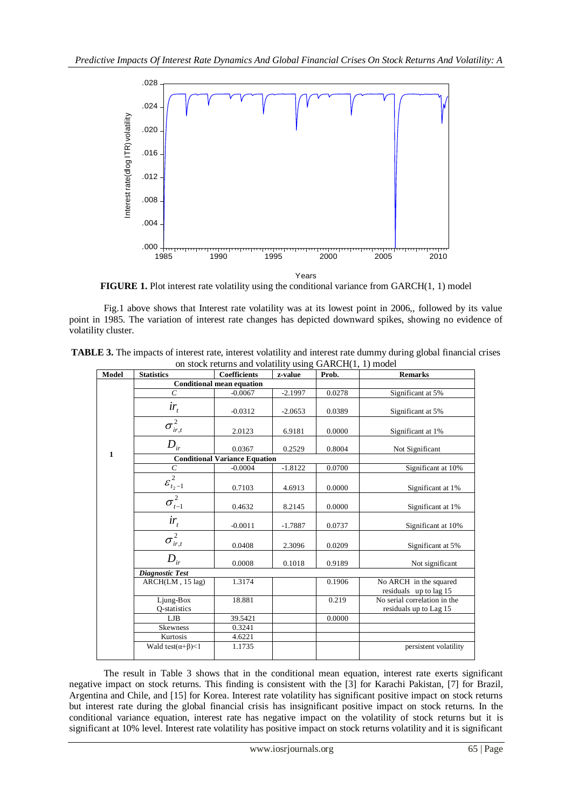

**FIGURE 1.** Plot interest rate volatility using the conditional variance from GARCH(1, 1) model

Fig.1 above shows that Interest rate volatility was at its lowest point in 2006,, followed by its value point in 1985. The variation of interest rate changes has depicted downward spikes, showing no evidence of volatility cluster.

| <b>TABLE 3.</b> The impacts of interest rate, interest volatility and interest rate dummy during global financial crises |  |
|--------------------------------------------------------------------------------------------------------------------------|--|
| on stock returns and volatility using GARCH(1, 1) model                                                                  |  |

| Model        | <b>Statistics</b>                    | <b>Coefficients</b> | z-value   | Prob.  | <b>Remarks</b>                                         |  |  |
|--------------|--------------------------------------|---------------------|-----------|--------|--------------------------------------------------------|--|--|
|              | <b>Conditional mean equation</b>     |                     |           |        |                                                        |  |  |
| $\mathbf{1}$ | $\mathcal{C}_{0}^{0}$                | $-0.0067$           | $-2.1997$ | 0.0278 | Significant at 5%                                      |  |  |
|              | $ir_{t}$                             | $-0.0312$           | $-2.0653$ | 0.0389 | Significant at 5%                                      |  |  |
|              | $\sigma^2_{ir,t}$                    | 2.0123              | 6.9181    | 0.0000 | Significant at 1%                                      |  |  |
|              | $D_{ir}$                             | 0.0367              | 0.2529    | 0.8004 | Not Significant                                        |  |  |
|              | <b>Conditional Variance Equation</b> |                     |           |        |                                                        |  |  |
|              | $\cal C$                             | $-0.0004$           | $-1.8122$ | 0.0700 | Significant at 10%                                     |  |  |
|              | $\varepsilon_{t_2-1}^2$              | 0.7103              | 4.6913    | 0.0000 | Significant at 1%                                      |  |  |
|              | $\overline{\sigma_{t-1}^2}$          | 0.4632              | 8.2145    | 0.0000 | Significant at 1%                                      |  |  |
|              | $ir_{t}$                             | $-0.0011$           | $-1.7887$ | 0.0737 | Significant at 10%                                     |  |  |
|              | $\overline{\sigma_{ir,t}^2}$         | 0.0408              | 2.3096    | 0.0209 | Significant at 5%                                      |  |  |
|              | $D_{ir}$                             | 0.0008              | 0.1018    | 0.9189 | Not significant                                        |  |  |
|              | <b>Diagnostic Test</b>               |                     |           |        |                                                        |  |  |
|              | ARCH(LM, 15 lag)                     | 1.3174              |           | 0.1906 | No ARCH in the squared<br>residuals up to lag 15       |  |  |
|              | Ljung-Box<br>Q-statistics            | 18.881              |           | 0.219  | No serial correlation in the<br>residuals up to Lag 15 |  |  |
|              | LJB                                  | 39.5421             |           | 0.0000 |                                                        |  |  |
|              | <b>Skewness</b>                      | 0.3241              |           |        |                                                        |  |  |
|              | Kurtosis                             | 4.6221              |           |        |                                                        |  |  |
|              | Wald test $(\alpha+\beta)$ < 1       | 1.1735              |           |        | persistent volatility                                  |  |  |

The result in Table 3 shows that in the conditional mean equation, interest rate exerts significant negative impact on stock returns. This finding is consistent with the [3] for Karachi Pakistan, [7] for Brazil, Argentina and Chile, and [15] for Korea. Interest rate volatility has significant positive impact on stock returns but interest rate during the global financial crisis has insignificant positive impact on stock returns. In the conditional variance equation, interest rate has negative impact on the volatility of stock returns but it is significant at 10% level. Interest rate volatility has positive impact on stock returns volatility and it is significant